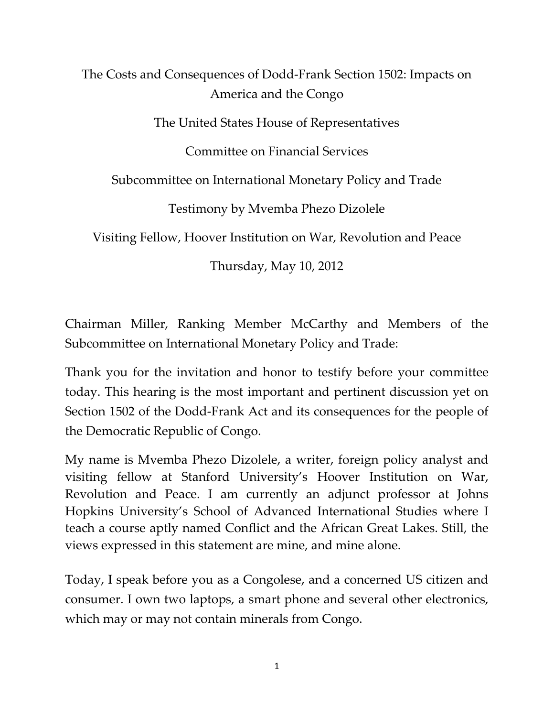The Costs and Consequences of Dodd-Frank Section 1502: Impacts on America and the Congo The United States House of Representatives Committee on Financial Services Subcommittee on International Monetary Policy and Trade Testimony by Mvemba Phezo Dizolele Visiting Fellow, Hoover Institution on War, Revolution and Peace

Thursday, May 10, 2012

Chairman Miller, Ranking Member McCarthy and Members of the Subcommittee on International Monetary Policy and Trade:

Thank you for the invitation and honor to testify before your committee today. This hearing is the most important and pertinent discussion yet on Section 1502 of the Dodd-Frank Act and its consequences for the people of the Democratic Republic of Congo.

My name is Mvemba Phezo Dizolele, a writer, foreign policy analyst and visiting fellow at Stanford University's Hoover Institution on War, Revolution and Peace. I am currently an adjunct professor at Johns Hopkins University's School of Advanced International Studies where I teach a course aptly named Conflict and the African Great Lakes. Still, the views expressed in this statement are mine, and mine alone.

Today, I speak before you as a Congolese, and a concerned US citizen and consumer. I own two laptops, a smart phone and several other electronics, which may or may not contain minerals from Congo.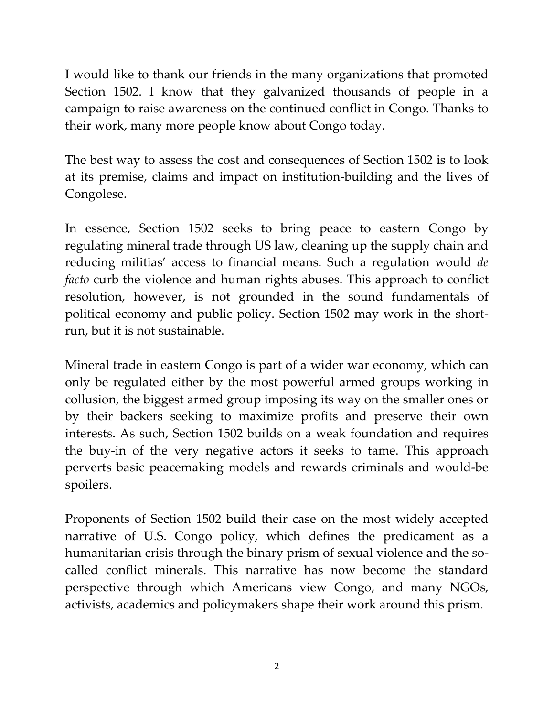I would like to thank our friends in the many organizations that promoted Section 1502. I know that they galvanized thousands of people in a campaign to raise awareness on the continued conflict in Congo. Thanks to their work, many more people know about Congo today.

The best way to assess the cost and consequences of Section 1502 is to look at its premise, claims and impact on institution-building and the lives of Congolese.

In essence, Section 1502 seeks to bring peace to eastern Congo by regulating mineral trade through US law, cleaning up the supply chain and reducing militias' access to financial means. Such a regulation would *de facto* curb the violence and human rights abuses. This approach to conflict resolution, however, is not grounded in the sound fundamentals of political economy and public policy. Section 1502 may work in the shortrun, but it is not sustainable.

Mineral trade in eastern Congo is part of a wider war economy, which can only be regulated either by the most powerful armed groups working in collusion, the biggest armed group imposing its way on the smaller ones or by their backers seeking to maximize profits and preserve their own interests. As such, Section 1502 builds on a weak foundation and requires the buy-in of the very negative actors it seeks to tame. This approach perverts basic peacemaking models and rewards criminals and would-be spoilers.

Proponents of Section 1502 build their case on the most widely accepted narrative of U.S. Congo policy, which defines the predicament as a humanitarian crisis through the binary prism of sexual violence and the socalled conflict minerals. This narrative has now become the standard perspective through which Americans view Congo, and many NGOs, activists, academics and policymakers shape their work around this prism.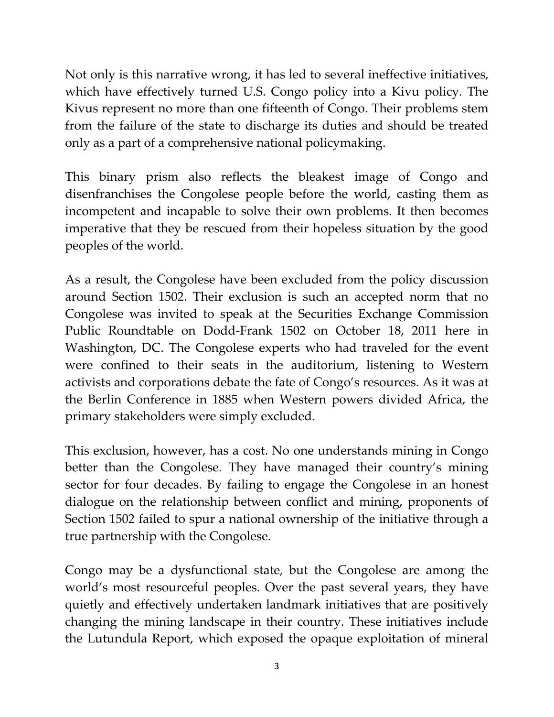Not only is this narrative wrong, it has led to several ineffective initiatives, which have effectively turned U.S. Congo policy into a Kivu policy. The Kivus represent no more than one fifteenth of Congo. Their problems stem from the failure of the state to discharge its duties and should be treated only as a part of a comprehensive national policymaking.

This binary prism also reflects the bleakest image of Congo and disenfranchises the Congolese people before the world, casting them as incompetent and incapable to solve their own problems. It then becomes imperative that they be rescued from their hopeless situation by the good peoples of the world.

As a result, the Congolese have been excluded from the policy discussion around Section 1502. Their exclusion is such an accepted norm that no Congolese was invited to speak at the Securities Exchange Commission Public Roundtable on Dodd-Frank 1502 on October 18, 2011 here in Washington, DC. The Congolese experts who had traveled for the event were confined to their seats in the auditorium, listening to Western activists and corporations debate the fate of Congo's resources. As it was at the Berlin Conference in 1885 when Western powers divided Africa, the primary stakeholders were simply excluded.

This exclusion, however, has a cost. No one understands mining in Congo better than the Congolese. They have managed their country's mining sector for four decades. By failing to engage the Congolese in an honest dialogue on the relationship between conflict and mining, proponents of Section 1502 failed to spur a national ownership of the initiative through a true partnership with the Congolese.

Congo may be a dysfunctional state, but the Congolese are among the world's most resourceful peoples. Over the past several years, they have quietly and effectively undertaken landmark initiatives that are positively changing the mining landscape in their country. These initiatives include the Lutundula Report, which exposed the opaque exploitation of mineral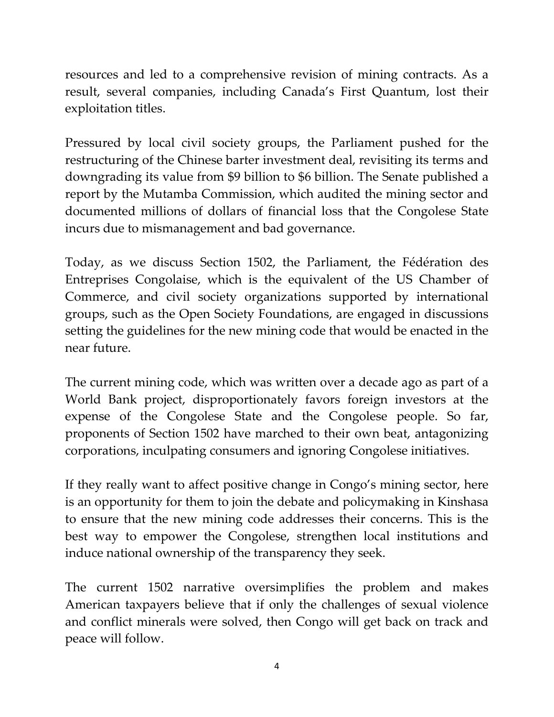resources and led to a comprehensive revision of mining contracts. As a result, several companies, including Canada's First Quantum, lost their exploitation titles.

Pressured by local civil society groups, the Parliament pushed for the restructuring of the Chinese barter investment deal, revisiting its terms and downgrading its value from \$9 billion to \$6 billion. The Senate published a report by the Mutamba Commission, which audited the mining sector and documented millions of dollars of financial loss that the Congolese State incurs due to mismanagement and bad governance.

Today, as we discuss Section 1502, the Parliament, the Fédération des Entreprises Congolaise, which is the equivalent of the US Chamber of Commerce, and civil society organizations supported by international groups, such as the Open Society Foundations, are engaged in discussions setting the guidelines for the new mining code that would be enacted in the near future.

The current mining code, which was written over a decade ago as part of a World Bank project, disproportionately favors foreign investors at the expense of the Congolese State and the Congolese people. So far, proponents of Section 1502 have marched to their own beat, antagonizing corporations, inculpating consumers and ignoring Congolese initiatives.

If they really want to affect positive change in Congo's mining sector, here is an opportunity for them to join the debate and policymaking in Kinshasa to ensure that the new mining code addresses their concerns. This is the best way to empower the Congolese, strengthen local institutions and induce national ownership of the transparency they seek.

The current 1502 narrative oversimplifies the problem and makes American taxpayers believe that if only the challenges of sexual violence and conflict minerals were solved, then Congo will get back on track and peace will follow.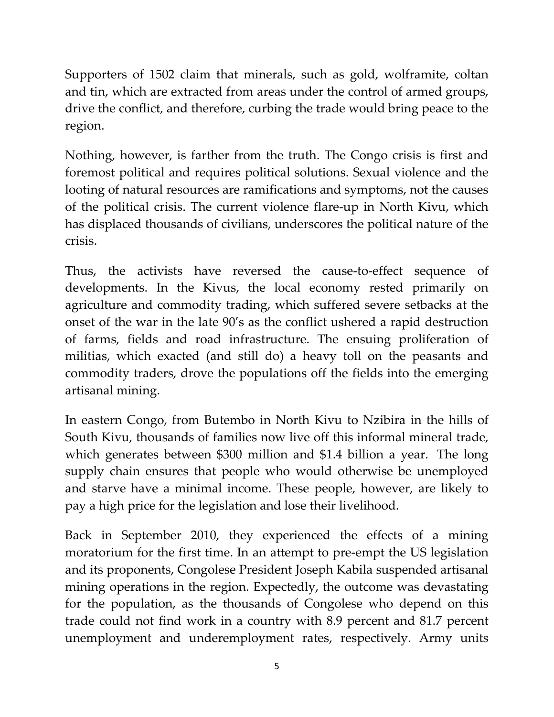Supporters of 1502 claim that minerals, such as gold, wolframite, coltan and tin, which are extracted from areas under the control of armed groups, drive the conflict, and therefore, curbing the trade would bring peace to the region.

Nothing, however, is farther from the truth. The Congo crisis is first and foremost political and requires political solutions. Sexual violence and the looting of natural resources are ramifications and symptoms, not the causes of the political crisis. The current violence flare-up in North Kivu, which has displaced thousands of civilians, underscores the political nature of the crisis.

Thus, the activists have reversed the cause-to-effect sequence of developments. In the Kivus, the local economy rested primarily on agriculture and commodity trading, which suffered severe setbacks at the onset of the war in the late 90's as the conflict ushered a rapid destruction of farms, fields and road infrastructure. The ensuing proliferation of militias, which exacted (and still do) a heavy toll on the peasants and commodity traders, drove the populations off the fields into the emerging artisanal mining.

In eastern Congo, from Butembo in North Kivu to Nzibira in the hills of South Kivu, thousands of families now live off this informal mineral trade, which generates between \$300 million and \$1.4 billion a year. The long supply chain ensures that people who would otherwise be unemployed and starve have a minimal income. These people, however, are likely to pay a high price for the legislation and lose their livelihood.

Back in September 2010, they experienced the effects of a mining moratorium for the first time. In an attempt to pre-empt the US legislation and its proponents, Congolese President Joseph Kabila suspended artisanal mining operations in the region. Expectedly, the outcome was devastating for the population, as the thousands of Congolese who depend on this trade could not find work in a country with 8.9 percent and 81.7 percent unemployment and underemployment rates, respectively. Army units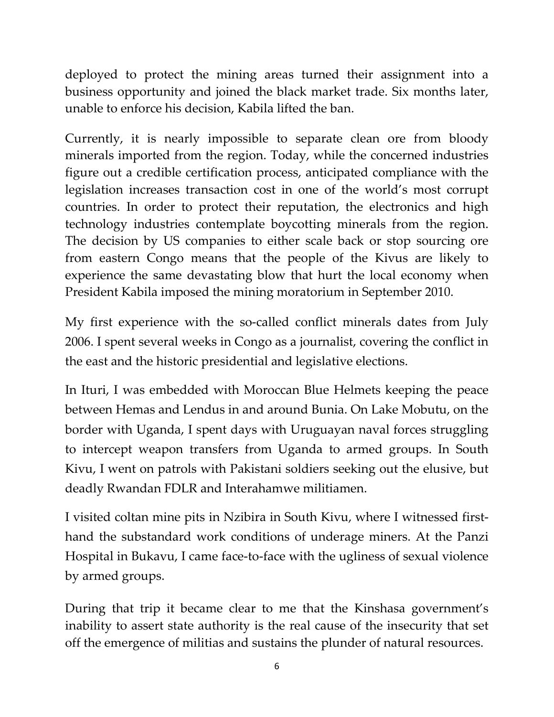deployed to protect the mining areas turned their assignment into a business opportunity and joined the black market trade. Six months later, unable to enforce his decision, Kabila lifted the ban.

Currently, it is nearly impossible to separate clean ore from bloody minerals imported from the region. Today, while the concerned industries figure out a credible certification process, anticipated compliance with the legislation increases transaction cost in one of the world's most corrupt countries. In order to protect their reputation, the electronics and high technology industries contemplate boycotting minerals from the region. The decision by US companies to either scale back or stop sourcing ore from eastern Congo means that the people of the Kivus are likely to experience the same devastating blow that hurt the local economy when President Kabila imposed the mining moratorium in September 2010.

My first experience with the so-called conflict minerals dates from July 2006. I spent several weeks in Congo as a journalist, covering the conflict in the east and the historic presidential and legislative elections.

In Ituri, I was embedded with Moroccan Blue Helmets keeping the peace between Hemas and Lendus in and around Bunia. On Lake Mobutu, on the border with Uganda, I spent days with Uruguayan naval forces struggling to intercept weapon transfers from Uganda to armed groups. In South Kivu, I went on patrols with Pakistani soldiers seeking out the elusive, but deadly Rwandan FDLR and Interahamwe militiamen.

I visited coltan mine pits in Nzibira in South Kivu, where I witnessed firsthand the substandard work conditions of underage miners. At the Panzi Hospital in Bukavu, I came face-to-face with the ugliness of sexual violence by armed groups.

During that trip it became clear to me that the Kinshasa government's inability to assert state authority is the real cause of the insecurity that set off the emergence of militias and sustains the plunder of natural resources.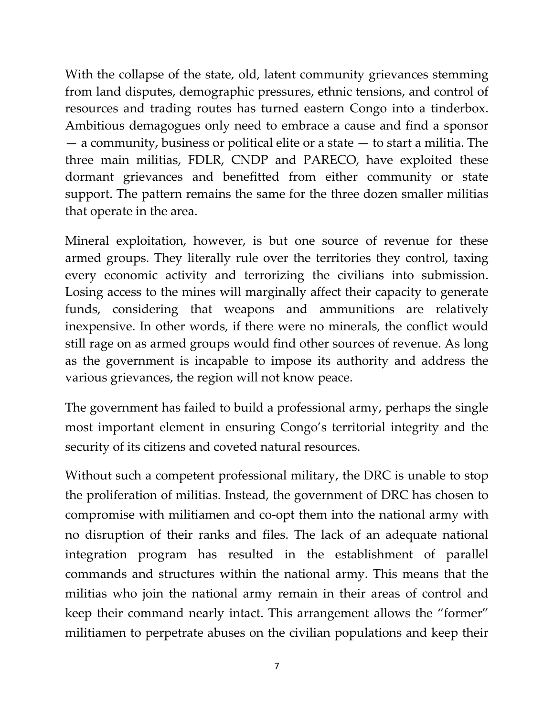With the collapse of the state, old, latent community grievances stemming from land disputes, demographic pressures, ethnic tensions, and control of resources and trading routes has turned eastern Congo into a tinderbox. Ambitious demagogues only need to embrace a cause and find a sponsor — a community, business or political elite or a state — to start a militia. The three main militias, FDLR, CNDP and PARECO, have exploited these dormant grievances and benefitted from either community or state support. The pattern remains the same for the three dozen smaller militias that operate in the area.

Mineral exploitation, however, is but one source of revenue for these armed groups. They literally rule over the territories they control, taxing every economic activity and terrorizing the civilians into submission. Losing access to the mines will marginally affect their capacity to generate funds, considering that weapons and ammunitions are relatively inexpensive. In other words, if there were no minerals, the conflict would still rage on as armed groups would find other sources of revenue. As long as the government is incapable to impose its authority and address the various grievances, the region will not know peace.

The government has failed to build a professional army, perhaps the single most important element in ensuring Congo's territorial integrity and the security of its citizens and coveted natural resources.

Without such a competent professional military, the DRC is unable to stop the proliferation of militias. Instead, the government of DRC has chosen to compromise with militiamen and co-opt them into the national army with no disruption of their ranks and files. The lack of an adequate national integration program has resulted in the establishment of parallel commands and structures within the national army. This means that the militias who join the national army remain in their areas of control and keep their command nearly intact. This arrangement allows the "former" militiamen to perpetrate abuses on the civilian populations and keep their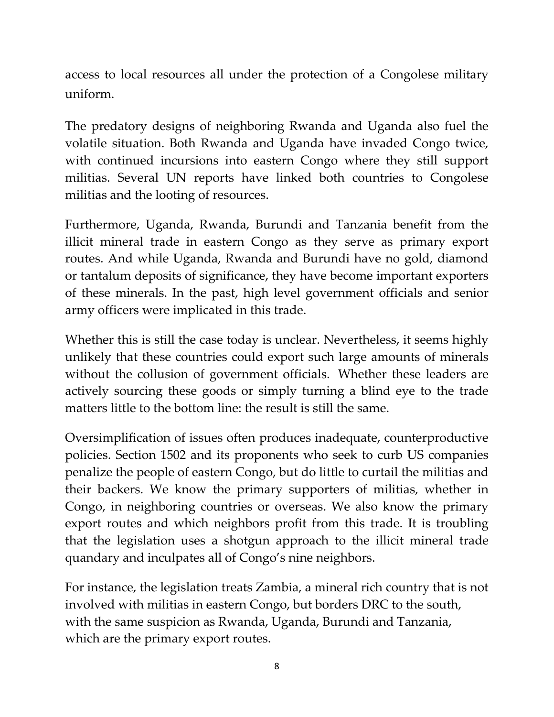access to local resources all under the protection of a Congolese military uniform.

The predatory designs of neighboring Rwanda and Uganda also fuel the volatile situation. Both Rwanda and Uganda have invaded Congo twice, with continued incursions into eastern Congo where they still support militias. Several UN reports have linked both countries to Congolese militias and the looting of resources.

Furthermore, Uganda, Rwanda, Burundi and Tanzania benefit from the illicit mineral trade in eastern Congo as they serve as primary export routes. And while Uganda, Rwanda and Burundi have no gold, diamond or tantalum deposits of significance, they have become important exporters of these minerals. In the past, high level government officials and senior army officers were implicated in this trade.

Whether this is still the case today is unclear. Nevertheless, it seems highly unlikely that these countries could export such large amounts of minerals without the collusion of government officials. Whether these leaders are actively sourcing these goods or simply turning a blind eye to the trade matters little to the bottom line: the result is still the same.

Oversimplification of issues often produces inadequate, counterproductive policies. Section 1502 and its proponents who seek to curb US companies penalize the people of eastern Congo, but do little to curtail the militias and their backers. We know the primary supporters of militias, whether in Congo, in neighboring countries or overseas. We also know the primary export routes and which neighbors profit from this trade. It is troubling that the legislation uses a shotgun approach to the illicit mineral trade quandary and inculpates all of Congo's nine neighbors.

For instance, the legislation treats Zambia, a mineral rich country that is not involved with militias in eastern Congo, but borders DRC to the south, with the same suspicion as Rwanda, Uganda, Burundi and Tanzania, which are the primary export routes.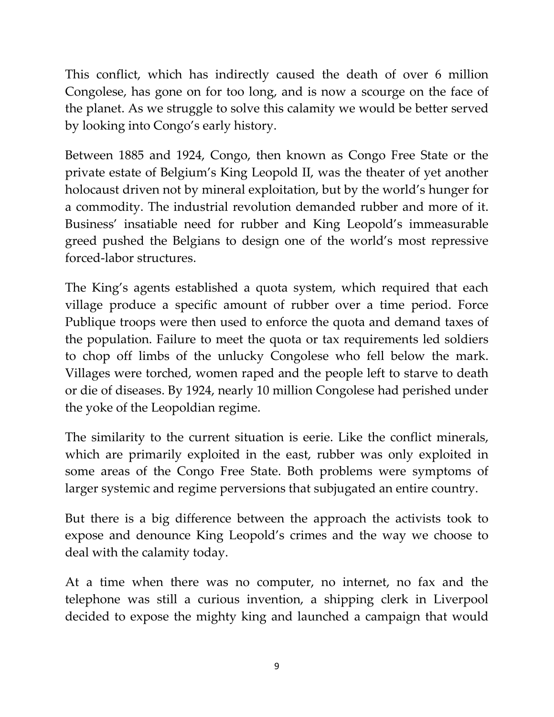This conflict, which has indirectly caused the death of over 6 million Congolese, has gone on for too long, and is now a scourge on the face of the planet. As we struggle to solve this calamity we would be better served by looking into Congo's early history.

Between 1885 and 1924, Congo, then known as Congo Free State or the private estate of Belgium's King Leopold II, was the theater of yet another holocaust driven not by mineral exploitation, but by the world's hunger for a commodity. The industrial revolution demanded rubber and more of it. Business' insatiable need for rubber and King Leopold's immeasurable greed pushed the Belgians to design one of the world's most repressive forced-labor structures.

The King's agents established a quota system, which required that each village produce a specific amount of rubber over a time period. Force Publique troops were then used to enforce the quota and demand taxes of the population. Failure to meet the quota or tax requirements led soldiers to chop off limbs of the unlucky Congolese who fell below the mark. Villages were torched, women raped and the people left to starve to death or die of diseases. By 1924, nearly 10 million Congolese had perished under the yoke of the Leopoldian regime.

The similarity to the current situation is eerie. Like the conflict minerals, which are primarily exploited in the east, rubber was only exploited in some areas of the Congo Free State. Both problems were symptoms of larger systemic and regime perversions that subjugated an entire country.

But there is a big difference between the approach the activists took to expose and denounce King Leopold's crimes and the way we choose to deal with the calamity today.

At a time when there was no computer, no internet, no fax and the telephone was still a curious invention, a shipping clerk in Liverpool decided to expose the mighty king and launched a campaign that would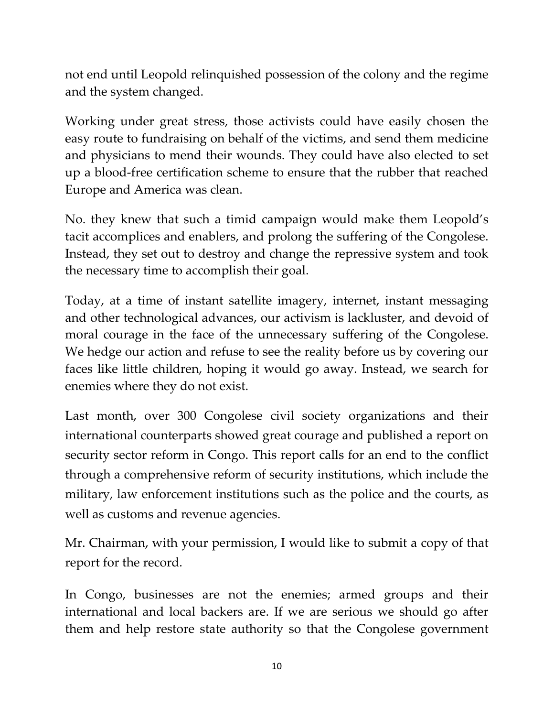not end until Leopold relinquished possession of the colony and the regime and the system changed.

Working under great stress, those activists could have easily chosen the easy route to fundraising on behalf of the victims, and send them medicine and physicians to mend their wounds. They could have also elected to set up a blood-free certification scheme to ensure that the rubber that reached Europe and America was clean.

No. they knew that such a timid campaign would make them Leopold's tacit accomplices and enablers, and prolong the suffering of the Congolese. Instead, they set out to destroy and change the repressive system and took the necessary time to accomplish their goal.

Today, at a time of instant satellite imagery, internet, instant messaging and other technological advances, our activism is lackluster, and devoid of moral courage in the face of the unnecessary suffering of the Congolese. We hedge our action and refuse to see the reality before us by covering our faces like little children, hoping it would go away. Instead, we search for enemies where they do not exist.

Last month, over 300 Congolese civil society organizations and their international counterparts showed great courage and published a report on security sector reform in Congo. This report calls for an end to the conflict through a comprehensive reform of security institutions, which include the military, law enforcement institutions such as the police and the courts, as well as customs and revenue agencies.

Mr. Chairman, with your permission, I would like to submit a copy of that report for the record.

In Congo, businesses are not the enemies; armed groups and their international and local backers are. If we are serious we should go after them and help restore state authority so that the Congolese government